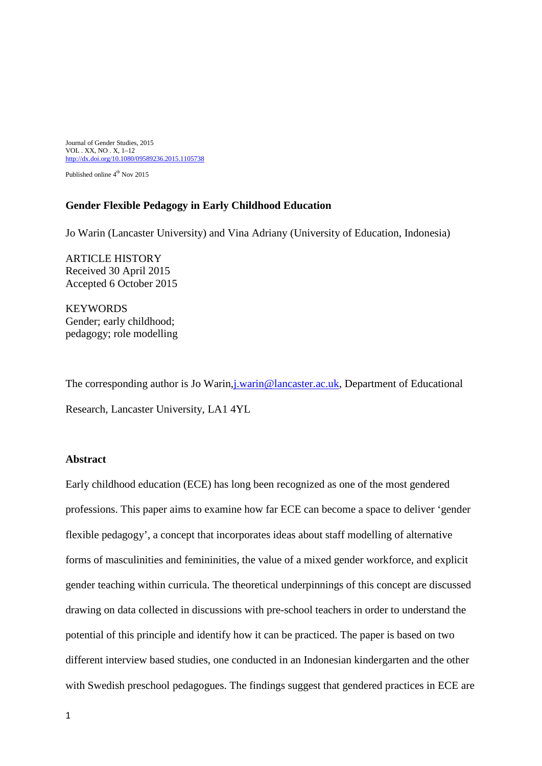Journal of Gender Studies, 2015 VOL . XX, NO . X, 1–12 <http://dx.doi.org/10.1080/09589236.2015.1105738>

Published online 4<sup>th</sup> Nov 2015

# **Gender Flexible Pedagogy in Early Childhood Education**

Jo Warin (Lancaster University) and Vina Adriany (University of Education, Indonesia)

ARTICLE HISTORY Received 30 April 2015 Accepted 6 October 2015

KEYWORDS Gender; early childhood; pedagogy; role modelling

The corresponding author is Jo Warin[,j.warin@lancaster.ac.uk,](mailto:j.warin@lancaster.ac.uk) Department of Educational Research, Lancaster University, LA1 4YL

# **Abstract**

Early childhood education (ECE) has long been recognized as one of the most gendered professions. This paper aims to examine how far ECE can become a space to deliver 'gender flexible pedagogy', a concept that incorporates ideas about staff modelling of alternative forms of masculinities and femininities, the value of a mixed gender workforce, and explicit gender teaching within curricula. The theoretical underpinnings of this concept are discussed drawing on data collected in discussions with pre-school teachers in order to understand the potential of this principle and identify how it can be practiced. The paper is based on two different interview based studies, one conducted in an Indonesian kindergarten and the other with Swedish preschool pedagogues. The findings suggest that gendered practices in ECE are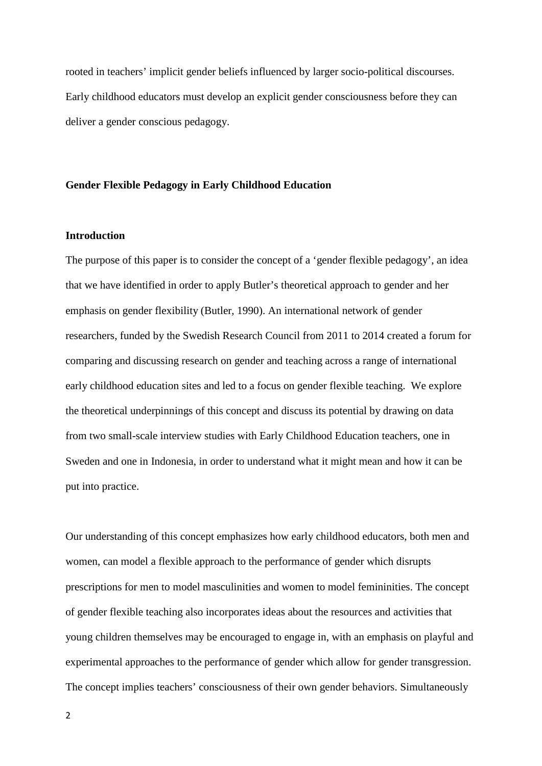rooted in teachers' implicit gender beliefs influenced by larger socio-political discourses. Early childhood educators must develop an explicit gender consciousness before they can deliver a gender conscious pedagogy.

### **Gender Flexible Pedagogy in Early Childhood Education**

# **Introduction**

The purpose of this paper is to consider the concept of a 'gender flexible pedagogy', an idea that we have identified in order to apply Butler's theoretical approach to gender and her emphasis on gender flexibility (Butler, 1990). An international network of gender researchers, funded by the Swedish Research Council from 2011 to 2014 created a forum for comparing and discussing research on gender and teaching across a range of international early childhood education sites and led to a focus on gender flexible teaching. We explore the theoretical underpinnings of this concept and discuss its potential by drawing on data from two small-scale interview studies with Early Childhood Education teachers, one in Sweden and one in Indonesia, in order to understand what it might mean and how it can be put into practice.

Our understanding of this concept emphasizes how early childhood educators, both men and women, can model a flexible approach to the performance of gender which disrupts prescriptions for men to model masculinities and women to model femininities. The concept of gender flexible teaching also incorporates ideas about the resources and activities that young children themselves may be encouraged to engage in, with an emphasis on playful and experimental approaches to the performance of gender which allow for gender transgression. The concept implies teachers' consciousness of their own gender behaviors. Simultaneously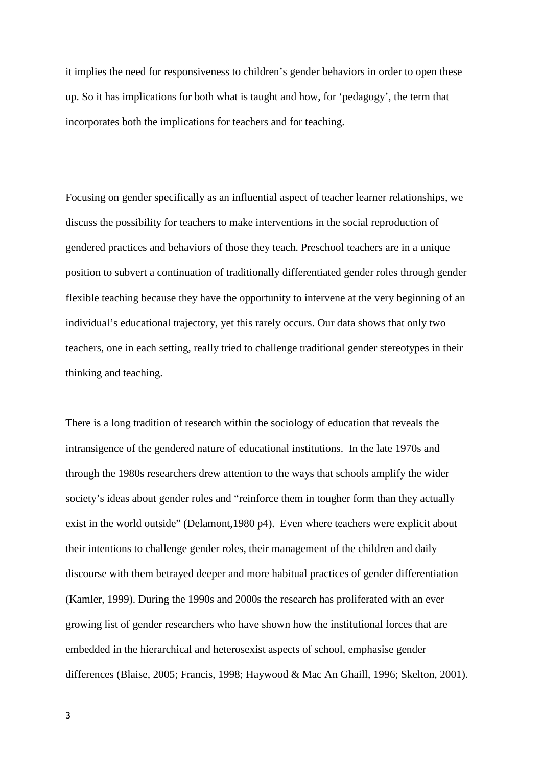it implies the need for responsiveness to children's gender behaviors in order to open these up. So it has implications for both what is taught and how, for 'pedagogy', the term that incorporates both the implications for teachers and for teaching.

Focusing on gender specifically as an influential aspect of teacher learner relationships, we discuss the possibility for teachers to make interventions in the social reproduction of gendered practices and behaviors of those they teach. Preschool teachers are in a unique position to subvert a continuation of traditionally differentiated gender roles through gender flexible teaching because they have the opportunity to intervene at the very beginning of an individual's educational trajectory, yet this rarely occurs. Our data shows that only two teachers, one in each setting, really tried to challenge traditional gender stereotypes in their thinking and teaching.

There is a long tradition of research within the sociology of education that reveals the intransigence of the gendered nature of educational institutions. In the late 1970s and through the 1980s researchers drew attention to the ways that schools amplify the wider society's ideas about gender roles and "reinforce them in tougher form than they actually exist in the world outside" (Delamont,1980 p4). Even where teachers were explicit about their intentions to challenge gender roles, their management of the children and daily discourse with them betrayed deeper and more habitual practices of gender differentiation (Kamler, 1999). During the 1990s and 2000s the research has proliferated with an ever growing list of gender researchers who have shown how the institutional forces that are embedded in the hierarchical and heterosexist aspects of school, emphasise gender differences [\(Blaise, 2005;](#page-24-0) [Francis, 1998;](#page-24-1) [Haywood & Mac An Ghaill, 1996;](#page-24-2) [Skelton, 2001\)](#page-26-0).

3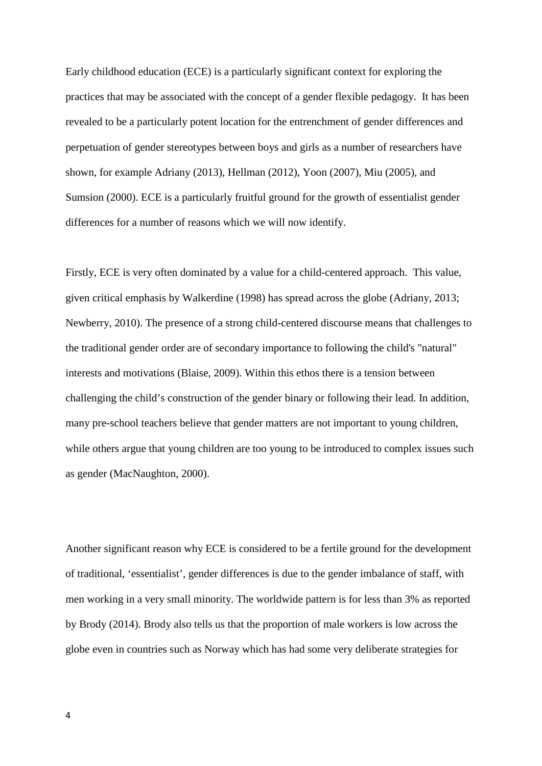Early childhood education (ECE) is a particularly significant context for exploring the practices that may be associated with the concept of a gender flexible pedagogy. It has been revealed to be a particularly potent location for the entrenchment of gender differences and perpetuation of gender stereotypes between boys and girls as a number of researchers have shown, for example Adriany (2013), [Hellman \(2012\),](#page-24-3) [Yoon \(2007\),](#page-27-0) [Miu \(2005\),](#page-25-0) and [Sumsion \(2000\).](#page-26-1) ECE is a particularly fruitful ground for the growth of essentialist gender differences for a number of reasons which we will now identify.

Firstly, ECE is very often dominated by a value for a child-centered approach. This value, given critical emphasis by Walkerdine (1998) has spread across the globe (Adriany, 2013; Newberry, 2010). The presence of a strong child-centered discourse means that challenges to the traditional gender order are of secondary importance to following the child's "natural" interests and motivations (Blaise, 2009). Within this ethos there is a tension between challenging the child's construction of the gender binary or following their lead. In addition, many pre-school teachers believe that gender matters are not important to young children, while others argue that young children are too young to be introduced to complex issues such as gender [\(MacNaughton, 2000\)](#page-25-1).

Another significant reason why ECE is considered to be a fertile ground for the development of traditional, 'essentialist', gender differences is due to the gender imbalance of staff, with men working in a very small minority. The worldwide pattern is for less than 3% as reported by [Brody \(2014\).](#page-24-4) Brody also tells us that the proportion of male workers is low across the globe even in countries such as Norway which has had some very deliberate strategies for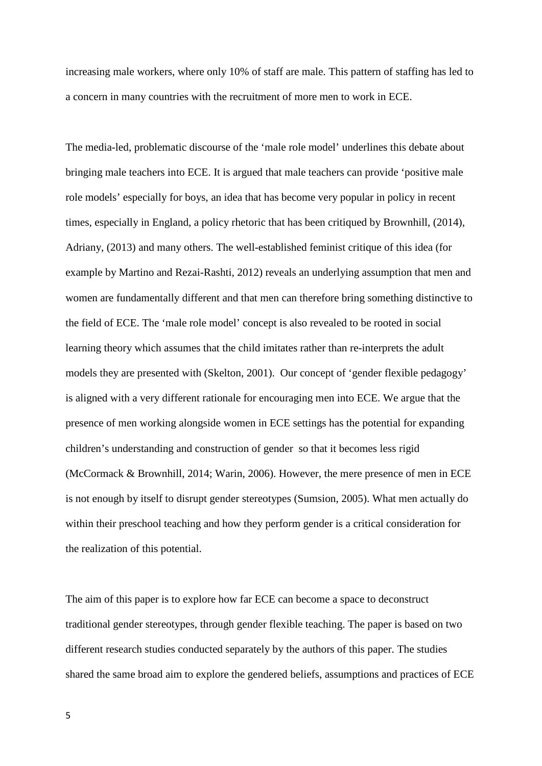increasing male workers, where only 10% of staff are male. This pattern of staffing has led to a concern in many countries with the recruitment of more men to work in ECE.

The media-led, problematic discourse of the 'male role model' underlines this debate about bringing male teachers into ECE. It is argued that male teachers can provide 'positive male role models' especially for boys, an idea that has become very popular in policy in recent times, especially in England, a policy rhetoric that has been critiqued by Brownhill, (2014), Adriany, (2013) and many others. The well-established feminist critique of this idea (for example by Martino and Rezai-Rashti, 2012) reveals an underlying assumption that men and women are fundamentally different and that men can therefore bring something distinctive to the field of ECE. The 'male role model' concept is also revealed to be rooted in social learning theory which assumes that the child imitates rather than re-interprets the adult models they are presented with (Skelton, 2001). Our concept of 'gender flexible pedagogy' is aligned with a very different rationale for encouraging men into ECE. We argue that the presence of men working alongside women in ECE settings has the potential for expanding children's understanding and construction of gender so that it becomes less rigid [\(McCormack & Brownhill, 2014;](#page-25-2) [Warin, 2006\)](#page-26-2). However, the mere presence of men in ECE is not enough by itself to disrupt gender stereotypes (Sumsion, 2005). What men actually do within their preschool teaching and how they perform gender is a critical consideration for the realization of this potential.

The aim of this paper is to explore how far ECE can become a space to deconstruct traditional gender stereotypes, through gender flexible teaching. The paper is based on two different research studies conducted separately by the authors of this paper. The studies shared the same broad aim to explore the gendered beliefs, assumptions and practices of ECE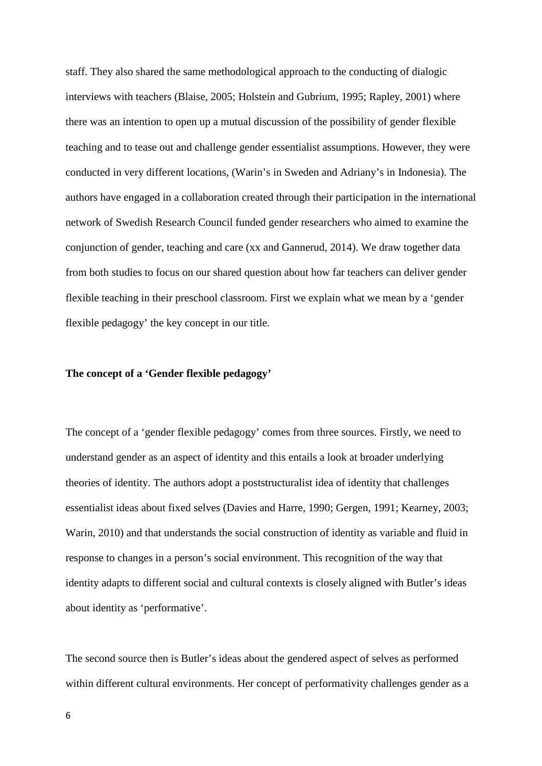staff. They also shared the same methodological approach to the conducting of dialogic interviews with teachers (Blaise, 2005; Holstein and Gubrium, 1995; Rapley, 2001) where there was an intention to open up a mutual discussion of the possibility of gender flexible teaching and to tease out and challenge gender essentialist assumptions. However, they were conducted in very different locations, (Warin's in Sweden and Adriany's in Indonesia). The authors have engaged in a collaboration created through their participation in the international network of Swedish Research Council funded gender researchers who aimed to examine the conjunction of gender, teaching and care (xx and Gannerud, 2014). We draw together data from both studies to focus on our shared question about how far teachers can deliver gender flexible teaching in their preschool classroom. First we explain what we mean by a 'gender flexible pedagogy' the key concept in our title.

# **The concept of a 'Gender flexible pedagogy'**

The concept of a 'gender flexible pedagogy' comes from three sources. Firstly, we need to understand gender as an aspect of identity and this entails a look at broader underlying theories of identity. The authors adopt a poststructuralist idea of identity that challenges essentialist ideas about fixed selves (Davies and Harre, 1990; Gergen, 1991; Kearney, 2003; Warin, 2010) and that understands the social construction of identity as variable and fluid in response to changes in a person's social environment. This recognition of the way that identity adapts to different social and cultural contexts is closely aligned with Butler's ideas about identity as 'performative'.

The second source then is Butler's ideas about the gendered aspect of selves as performed within different cultural environments. Her concept of performativity challenges gender as a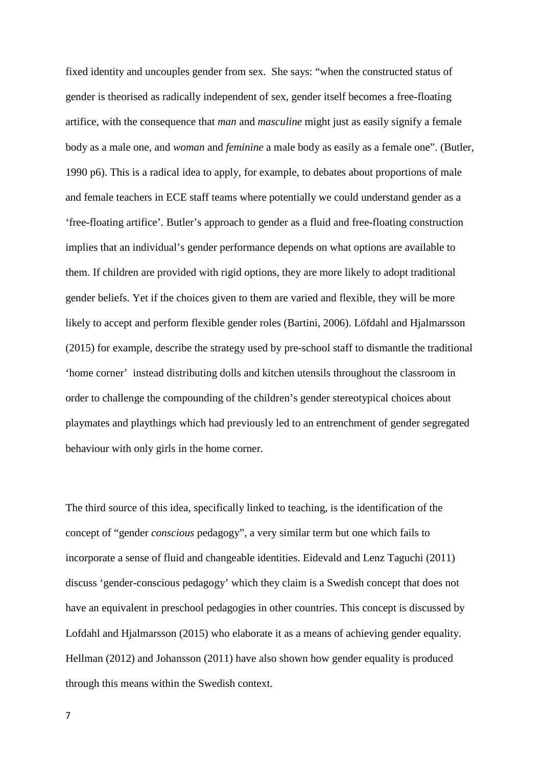fixed identity and uncouples gender from sex. She says: "when the constructed status of gender is theorised as radically independent of sex, gender itself becomes a free-floating artifice, with the consequence that *man* and *masculine* might just as easily signify a female body as a male one, and *woman* and *feminine* a male body as easily as a female one". (Butler, 1990 p6). This is a radical idea to apply, for example, to debates about proportions of male and female teachers in ECE staff teams where potentially we could understand gender as a 'free-floating artifice'. Butler's approach to gender as a fluid and free-floating construction implies that an individual's gender performance depends on what options are available to them. If children are provided with rigid options, they are more likely to adopt traditional gender beliefs. Yet if the choices given to them are varied and flexible, they will be more likely to accept and perform flexible gender roles [\(Bartini, 2006\)](#page-24-5). Löfdahl and Hjalmarsson (2015) for example, describe the strategy used by pre-school staff to dismantle the traditional 'home corner' instead distributing dolls and kitchen utensils throughout the classroom in order to challenge the compounding of the children's gender stereotypical choices about playmates and playthings which had previously led to an entrenchment of gender segregated behaviour with only girls in the home corner.

The third source of this idea, specifically linked to teaching, is the identification of the concept of "gender *conscious* pedagogy", a very similar term but one which fails to incorporate a sense of fluid and changeable identities. Eidevald and Lenz Taguchi (2011) discuss 'gender-conscious pedagogy' which they claim is a Swedish concept that does not have an equivalent in preschool pedagogies in other countries. This concept is discussed by Lofdahl and Hjalmarsson (2015) who elaborate it as a means of achieving gender equality. Hellman (2012) and Johansson (2011) have also shown how gender equality is produced through this means within the Swedish context.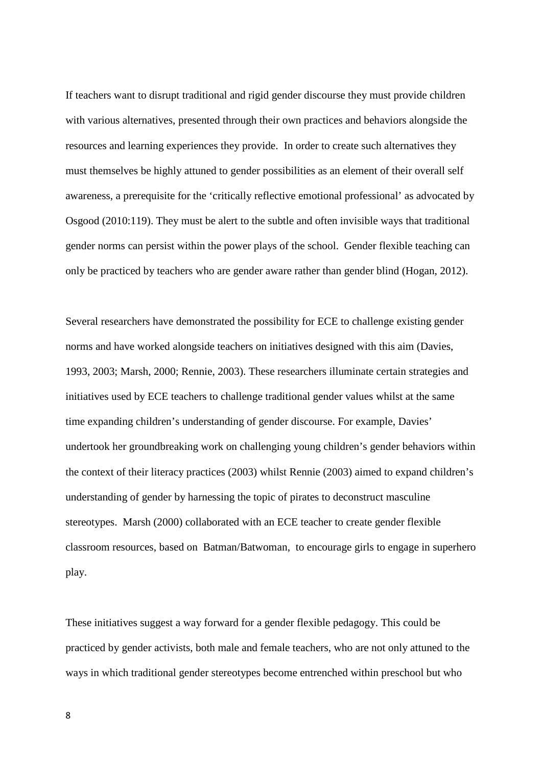If teachers want to disrupt traditional and rigid gender discourse they must provide children with various alternatives, presented through their own practices and behaviors alongside the resources and learning experiences they provide. In order to create such alternatives they must themselves be highly attuned to gender possibilities as an element of their overall self awareness, a prerequisite for the 'critically reflective emotional professional' as advocated by Osgood (2010:119). They must be alert to the subtle and often invisible ways that traditional gender norms can persist within the power plays of the school. Gender flexible teaching can only be practiced by teachers who are gender aware rather than gender blind (Hogan, 2012).

Several researchers have demonstrated the possibility for ECE to challenge existing gender norms and have worked alongside teachers on initiatives designed with this aim (Davies, 1993, 2003; [Marsh, 2000;](#page-25-3) [Rennie, 2003\)](#page-26-3). These researchers illuminate certain strategies and initiatives used by ECE teachers to challenge traditional gender values whilst at the same time expanding children's understanding of gender discourse. For example, Davies' undertook her groundbreaking work on challenging young children's gender behaviors within the context of their literacy practices (2003) whilst [Rennie \(2003\)](#page-26-3) aimed to expand children's understanding of gender by harnessing the topic of pirates to deconstruct masculine stereotypes. [Marsh \(2000\)](#page-25-3) collaborated with an ECE teacher to create gender flexible classroom resources, based on Batman/Batwoman, to encourage girls to engage in superhero play.

These initiatives suggest a way forward for a gender flexible pedagogy. This could be practiced by gender activists, both male and female teachers, who are not only attuned to the ways in which traditional gender stereotypes become entrenched within preschool but who

8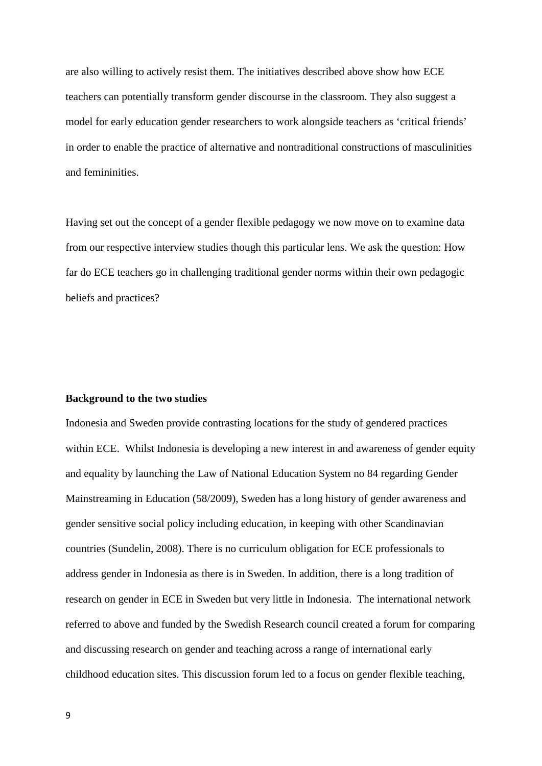are also willing to actively resist them. The initiatives described above show how ECE teachers can potentially transform gender discourse in the classroom. They also suggest a model for early education gender researchers to work alongside teachers as 'critical friends' in order to enable the practice of alternative and nontraditional constructions of masculinities and femininities.

Having set out the concept of a gender flexible pedagogy we now move on to examine data from our respective interview studies though this particular lens. We ask the question: How far do ECE teachers go in challenging traditional gender norms within their own pedagogic beliefs and practices?

#### **Background to the two studies**

Indonesia and Sweden provide contrasting locations for the study of gendered practices within ECE. Whilst Indonesia is developing a new interest in and awareness of gender equity and equality by launching the Law of National Education System no 84 regarding Gender Mainstreaming in Education [\(58/2009\)](#page-23-0), Sweden has a long history of gender awareness and gender sensitive social policy including education, in keeping with other Scandinavian countries (Sundelin, 2008). There is no curriculum obligation for ECE professionals to address gender in Indonesia as there is in Sweden. In addition, there is a long tradition of research on gender in ECE in Sweden but very little in Indonesia. The international network referred to above and funded by the Swedish Research council created a forum for comparing and discussing research on gender and teaching across a range of international early childhood education sites. This discussion forum led to a focus on gender flexible teaching,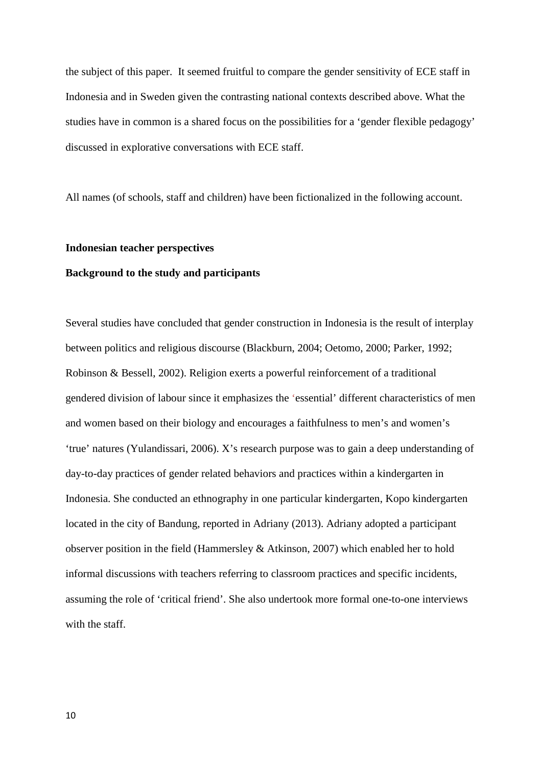the subject of this paper. It seemed fruitful to compare the gender sensitivity of ECE staff in Indonesia and in Sweden given the contrasting national contexts described above. What the studies have in common is a shared focus on the possibilities for a 'gender flexible pedagogy' discussed in explorative conversations with ECE staff.

All names (of schools, staff and children) have been fictionalized in the following account.

#### **Indonesian teacher perspectives**

### **Background to the study and participants**

Several studies have concluded that gender construction in Indonesia is the result of interplay between politics and religious discourse [\(Blackburn, 2004;](#page-24-6) [Oetomo, 2000;](#page-25-4) [Parker, 1992;](#page-26-4) Robinson & Bessell, 2002). Religion exerts a powerful reinforcement of a traditional gendered division of labour since it emphasizes the 'essential' different characteristics of men and women based on their biology and encourages a faithfulness to men's and women's 'true' natures (Yulandissari, 2006). X's research purpose was to gain a deep understanding of day-to-day practices of gender related behaviors and practices within a kindergarten in Indonesia. She conducted an ethnography in one particular kindergarten, Kopo kindergarten located in the city of Bandung, reported in Adriany (2013). Adriany adopted a participant observer position in the field (Hammersley & Atkinson, 2007) which enabled her to hold informal discussions with teachers referring to classroom practices and specific incidents, assuming the role of 'critical friend'. She also undertook more formal one-to-one interviews with the staff.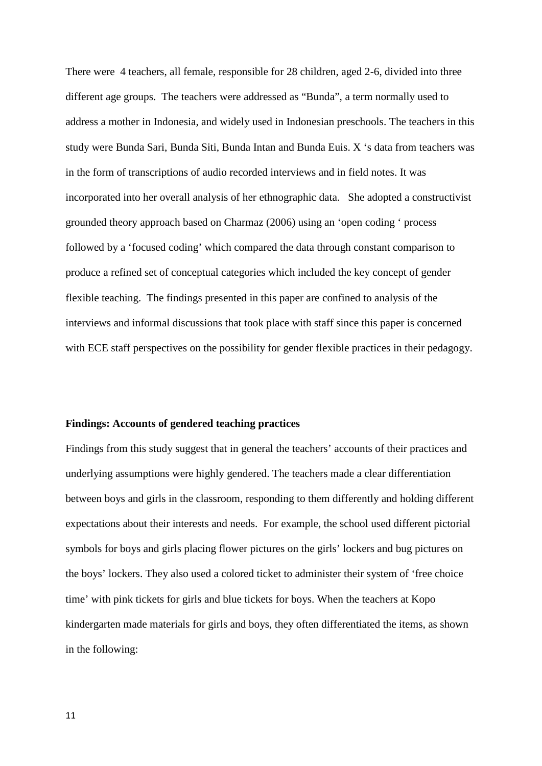There were 4 teachers, all female, responsible for 28 children, aged 2-6, divided into three different age groups. The teachers were addressed as "Bunda", a term normally used to address a mother in Indonesia, and widely used in Indonesian preschools. The teachers in this study were Bunda Sari, Bunda Siti, Bunda Intan and Bunda Euis. X 's data from teachers was in the form of transcriptions of audio recorded interviews and in field notes. It was incorporated into her overall analysis of her ethnographic data. She adopted a constructivist grounded theory approach based on Charmaz (2006) using an 'open coding ' process followed by a 'focused coding' which compared the data through constant comparison to produce a refined set of conceptual categories which included the key concept of gender flexible teaching. The findings presented in this paper are confined to analysis of the interviews and informal discussions that took place with staff since this paper is concerned with ECE staff perspectives on the possibility for gender flexible practices in their pedagogy.

#### **Findings: Accounts of gendered teaching practices**

Findings from this study suggest that in general the teachers' accounts of their practices and underlying assumptions were highly gendered. The teachers made a clear differentiation between boys and girls in the classroom, responding to them differently and holding different expectations about their interests and needs. For example, the school used different pictorial symbols for boys and girls placing flower pictures on the girls' lockers and bug pictures on the boys' lockers. They also used a colored ticket to administer their system of 'free choice time' with pink tickets for girls and blue tickets for boys. When the teachers at Kopo kindergarten made materials for girls and boys, they often differentiated the items, as shown in the following: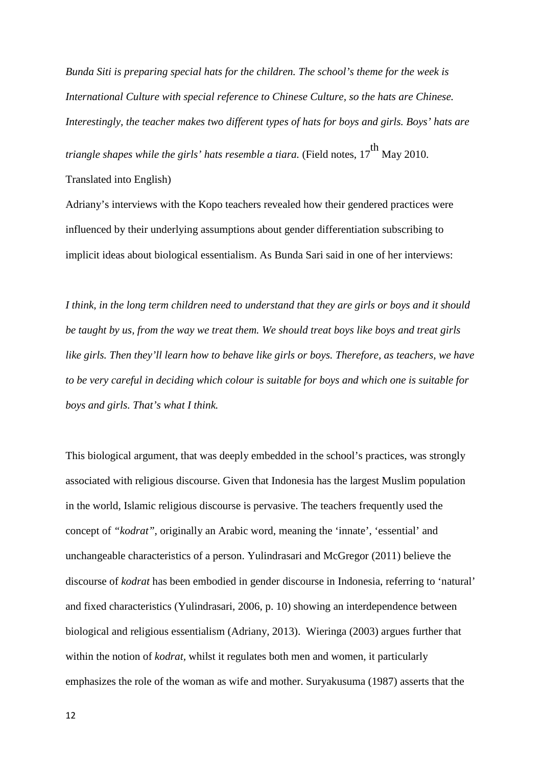*Bunda Siti is preparing special hats for the children. The school's theme for the week is International Culture with special reference to Chinese Culture, so the hats are Chinese. Interestingly, the teacher makes two different types of hats for boys and girls. Boys' hats are triangle shapes while the girls' hats resemble a tiara.* (Field notes,  $17^{th}$  May 2010. Translated into English)

Adriany's interviews with the Kopo teachers revealed how their gendered practices were influenced by their underlying assumptions about gender differentiation subscribing to implicit ideas about biological essentialism. As Bunda Sari said in one of her interviews:

*I think, in the long term children need to understand that they are girls or boys and it should be taught by us, from the way we treat them. We should treat boys like boys and treat girls like girls. Then they'll learn how to behave like girls or boys. Therefore, as teachers, we have to be very careful in deciding which colour is suitable for boys and which one is suitable for boys and girls. That's what I think.*

This biological argument, that was deeply embedded in the school's practices, was strongly associated with religious discourse. Given that Indonesia has the largest Muslim population in the world, Islamic religious discourse is pervasive. The teachers frequently used the concept of *"kodrat"*, originally an Arabic word, meaning the 'innate', 'essential' and unchangeable characteristics of a person. [Yulindrasari and McGregor \(2011\)](#page-27-1) believe the discourse of *kodrat* has been embodied in gender discourse in Indonesia, referring to 'natural' and fixed characteristics (Yulindrasari, 2006, p. 10) showing an interdependence between biological and religious essentialism (Adriany, 2013). [Wieringa \(2003\)](#page-26-5) argues further that within the notion of *kodrat,* whilst it regulates both men and women, it particularly emphasizes the role of the woman as wife and mother. [Suryakusuma \(1987\)](#page-26-6) asserts that the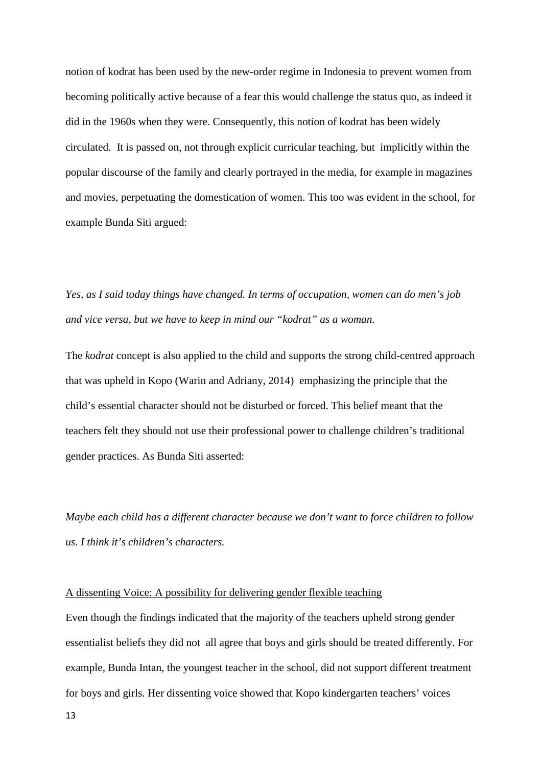notion of kodrat has been used by the new-order regime in Indonesia to prevent women from becoming politically active because of a fear this would challenge the status quo, as indeed it did in the 1960s when they were. Consequently, this notion of kodrat has been widely circulated. It is passed on, not through explicit curricular teaching, but implicitly within the popular discourse of the family and clearly portrayed in the media, for example in magazines and movies, perpetuating the domestication of women. This too was evident in the school, for example Bunda Siti argued:

*Yes, as I said today things have changed. In terms of occupation, women can do men's job and vice versa, but we have to keep in mind our "kodrat" as a woman.*

The *kodrat* concept is also applied to the child and supports the strong child-centred approach that was upheld in Kopo (Warin and Adriany, 2014) emphasizing the principle that the child's essential character should not be disturbed or forced. This belief meant that the teachers felt they should not use their professional power to challenge children's traditional gender practices. As Bunda Siti asserted:

*Maybe each child has a different character because we don't want to force children to follow us. I think it's children's characters.*

### A dissenting Voice: A possibility for delivering gender flexible teaching

Even though the findings indicated that the majority of the teachers upheld strong gender essentialist beliefs they did not all agree that boys and girls should be treated differently. For example, Bunda Intan, the youngest teacher in the school, did not support different treatment for boys and girls. Her dissenting voice showed that Kopo kindergarten teachers' voices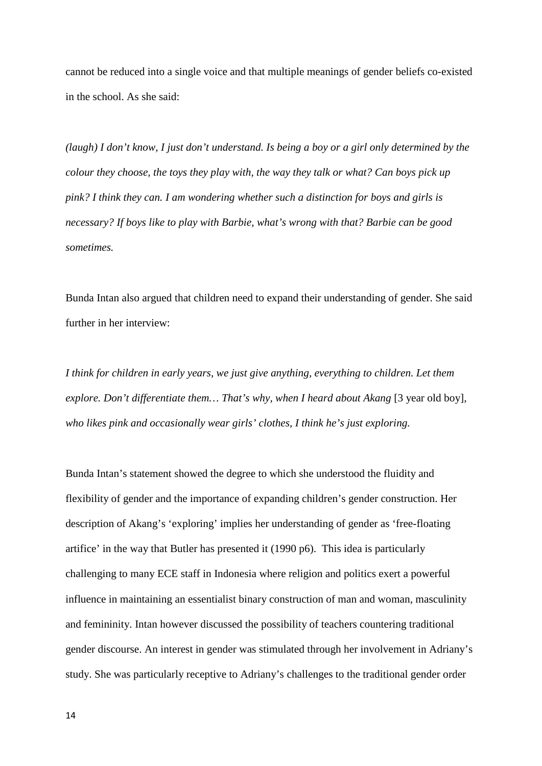cannot be reduced into a single voice and that multiple meanings of gender beliefs co-existed in the school. As she said:

*(laugh) I don't know, I just don't understand. Is being a boy or a girl only determined by the colour they choose, the toys they play with, the way they talk or what? Can boys pick up pink? I think they can. I am wondering whether such a distinction for boys and girls is necessary? If boys like to play with Barbie, what's wrong with that? Barbie can be good sometimes.*

Bunda Intan also argued that children need to expand their understanding of gender. She said further in her interview:

*I think for children in early years, we just give anything, everything to children. Let them explore. Don't differentiate them... That's why, when I heard about Akang* [3 year old boy], *who likes pink and occasionally wear girls' clothes, I think he's just exploring.* 

Bunda Intan's statement showed the degree to which she understood the fluidity and flexibility of gender and the importance of expanding children's gender construction. Her description of Akang's 'exploring' implies her understanding of gender as 'free-floating artifice' in the way that Butler has presented it (1990 p6). This idea is particularly challenging to many ECE staff in Indonesia where religion and politics exert a powerful influence in maintaining an essentialist binary construction of man and woman, masculinity and femininity. Intan however discussed the possibility of teachers countering traditional gender discourse. An interest in gender was stimulated through her involvement in Adriany's study. She was particularly receptive to Adriany's challenges to the traditional gender order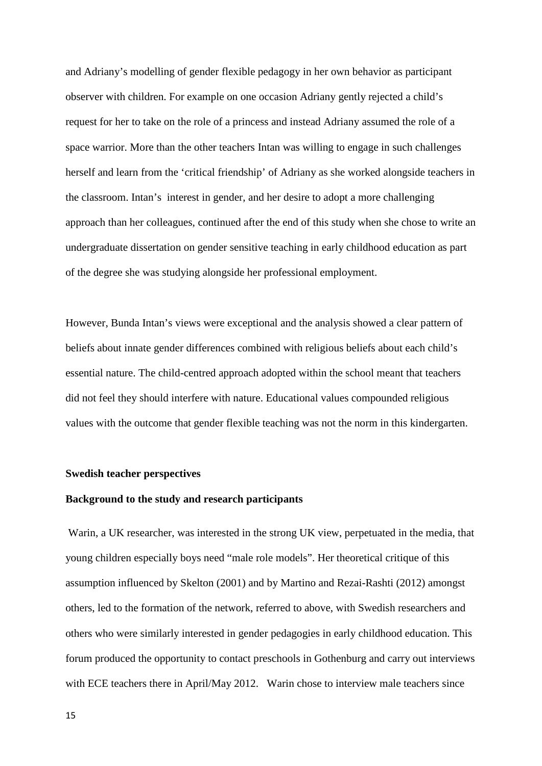and Adriany's modelling of gender flexible pedagogy in her own behavior as participant observer with children. For example on one occasion Adriany gently rejected a child's request for her to take on the role of a princess and instead Adriany assumed the role of a space warrior. More than the other teachers Intan was willing to engage in such challenges herself and learn from the 'critical friendship' of Adriany as she worked alongside teachers in the classroom. Intan's interest in gender, and her desire to adopt a more challenging approach than her colleagues, continued after the end of this study when she chose to write an undergraduate dissertation on gender sensitive teaching in early childhood education as part of the degree she was studying alongside her professional employment.

However, Bunda Intan's views were exceptional and the analysis showed a clear pattern of beliefs about innate gender differences combined with religious beliefs about each child's essential nature. The child-centred approach adopted within the school meant that teachers did not feel they should interfere with nature. Educational values compounded religious values with the outcome that gender flexible teaching was not the norm in this kindergarten.

#### **Swedish teacher perspectives**

### **Background to the study and research participants**

Warin, a UK researcher, was interested in the strong UK view, perpetuated in the media, that young children especially boys need "male role models". Her theoretical critique of this assumption influenced by [Skelton \(2001\)](#page-26-0) and by [Martino and Rezai-Rashti \(2012\)](#page-25-5) amongst others, led to the formation of the network, referred to above, with Swedish researchers and others who were similarly interested in gender pedagogies in early childhood education. This forum produced the opportunity to contact preschools in Gothenburg and carry out interviews with ECE teachers there in April/May 2012. Warin chose to interview male teachers since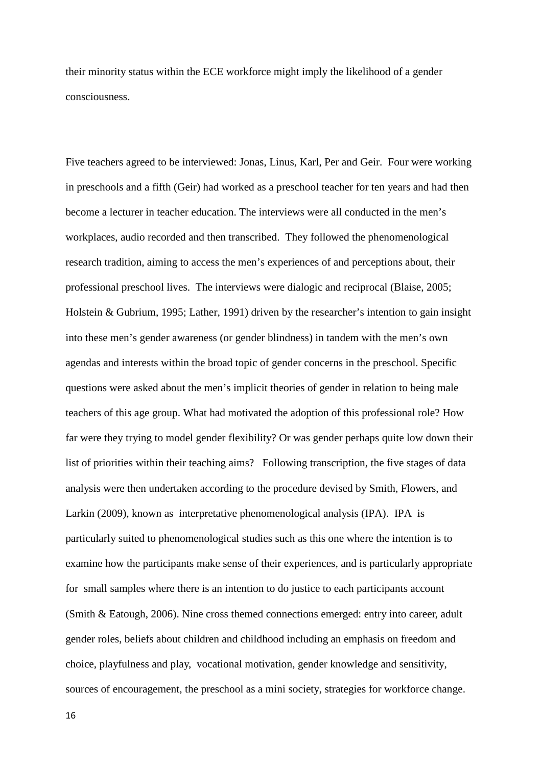their minority status within the ECE workforce might imply the likelihood of a gender consciousness.

Five teachers agreed to be interviewed: Jonas, Linus, Karl, Per and Geir. Four were working in preschools and a fifth (Geir) had worked as a preschool teacher for ten years and had then become a lecturer in teacher education. The interviews were all conducted in the men's workplaces, audio recorded and then transcribed. They followed the phenomenological research tradition, aiming to access the men's experiences of and perceptions about, their professional preschool lives. The interviews were dialogic and reciprocal [\(Blaise, 2005;](#page-24-0) [Holstein & Gubrium, 1995;](#page-25-6) Lather, 1991) driven by the researcher's intention to gain insight into these men's gender awareness (or gender blindness) in tandem with the men's own agendas and interests within the broad topic of gender concerns in the preschool. Specific questions were asked about the men's implicit theories of gender in relation to being male teachers of this age group. What had motivated the adoption of this professional role? How far were they trying to model gender flexibility? Or was gender perhaps quite low down their list of priorities within their teaching aims? Following transcription, the five stages of data analysis were then undertaken according to the procedure devised by Smith, Flowers, and Larkin (2009), known as interpretative phenomenological analysis (IPA). IPA is particularly suited to phenomenological studies such as this one where the intention is to examine how the participants make sense of their experiences, and is particularly appropriate for small samples where there is an intention to do justice to each participants account [\(Smith & Eatough, 2006\)](#page-26-7). Nine cross themed connections emerged: entry into career, adult gender roles, beliefs about children and childhood including an emphasis on freedom and choice, playfulness and play, vocational motivation, gender knowledge and sensitivity, sources of encouragement, the preschool as a mini society, strategies for workforce change.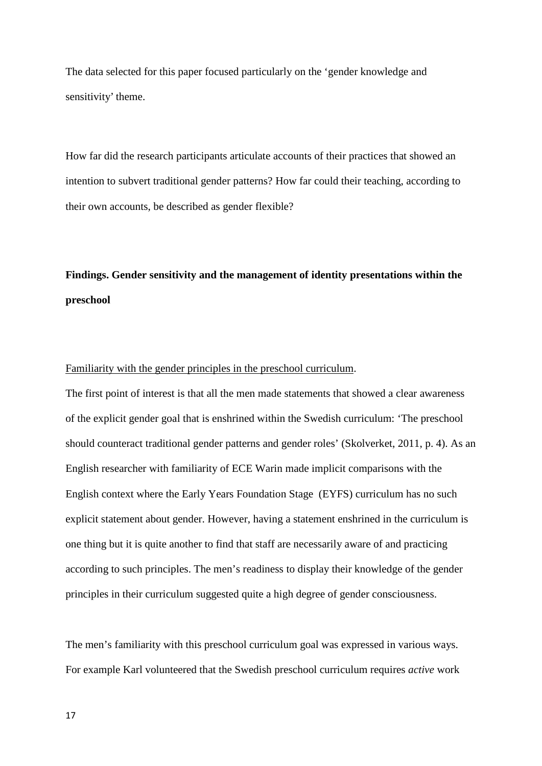The data selected for this paper focused particularly on the 'gender knowledge and sensitivity' theme.

How far did the research participants articulate accounts of their practices that showed an intention to subvert traditional gender patterns? How far could their teaching, according to their own accounts, be described as gender flexible?

# **Findings. Gender sensitivity and the management of identity presentations within the preschool**

# Familiarity with the gender principles in the preschool curriculum.

The first point of interest is that all the men made statements that showed a clear awareness of the explicit gender goal that is enshrined within the Swedish curriculum: 'The preschool should counteract traditional gender patterns and gender roles' (Skolverket, 2011, p. 4). As an English researcher with familiarity of ECE Warin made implicit comparisons with the English context where the Early Years Foundation Stage (EYFS) curriculum has no such explicit statement about gender. However, having a statement enshrined in the curriculum is one thing but it is quite another to find that staff are necessarily aware of and practicing according to such principles. The men's readiness to display their knowledge of the gender principles in their curriculum suggested quite a high degree of gender consciousness.

The men's familiarity with this preschool curriculum goal was expressed in various ways. For example Karl volunteered that the Swedish preschool curriculum requires *active* work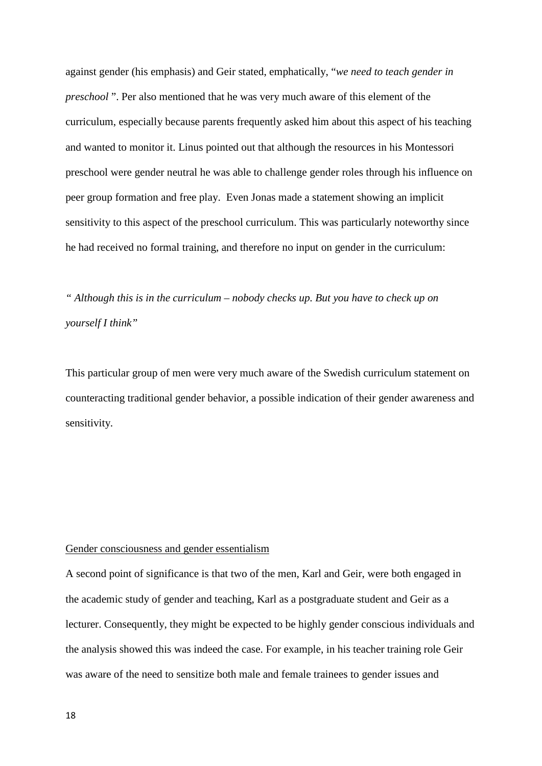against gender (his emphasis) and Geir stated, emphatically, "*we need to teach gender in preschool* ". Per also mentioned that he was very much aware of this element of the curriculum, especially because parents frequently asked him about this aspect of his teaching and wanted to monitor it. Linus pointed out that although the resources in his Montessori preschool were gender neutral he was able to challenge gender roles through his influence on peer group formation and free play. Even Jonas made a statement showing an implicit sensitivity to this aspect of the preschool curriculum. This was particularly noteworthy since he had received no formal training, and therefore no input on gender in the curriculum:

*" Although this is in the curriculum – nobody checks up. But you have to check up on yourself I think"* 

This particular group of men were very much aware of the Swedish curriculum statement on counteracting traditional gender behavior, a possible indication of their gender awareness and sensitivity.

# Gender consciousness and gender essentialism

A second point of significance is that two of the men, Karl and Geir, were both engaged in the academic study of gender and teaching, Karl as a postgraduate student and Geir as a lecturer. Consequently, they might be expected to be highly gender conscious individuals and the analysis showed this was indeed the case. For example, in his teacher training role Geir was aware of the need to sensitize both male and female trainees to gender issues and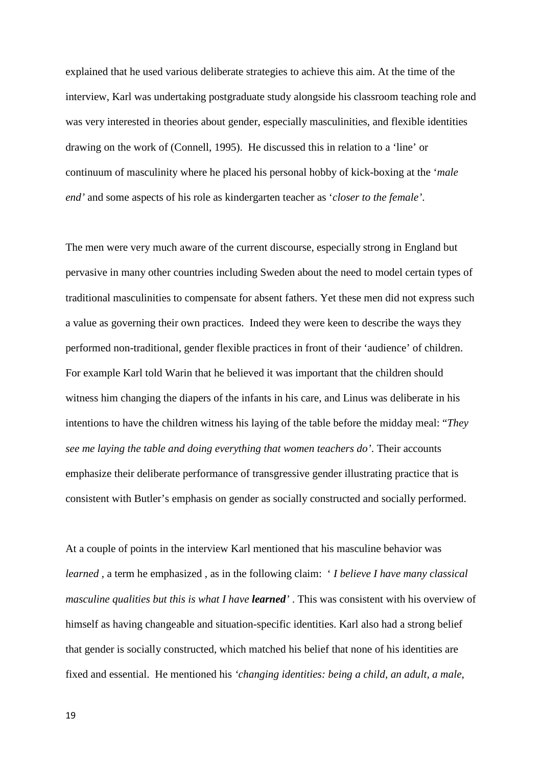explained that he used various deliberate strategies to achieve this aim. At the time of the interview, Karl was undertaking postgraduate study alongside his classroom teaching role and was very interested in theories about gender, especially masculinities, and flexible identities drawing on the work of (Connell, 1995). He discussed this in relation to a 'line' or continuum of masculinity where he placed his personal hobby of kick-boxing at the '*male end'* and some aspects of his role as kindergarten teacher as '*closer to the female'*.

The men were very much aware of the current discourse, especially strong in England but pervasive in many other countries including Sweden about the need to model certain types of traditional masculinities to compensate for absent fathers. Yet these men did not express such a value as governing their own practices. Indeed they were keen to describe the ways they performed non-traditional, gender flexible practices in front of their 'audience' of children. For example Karl told Warin that he believed it was important that the children should witness him changing the diapers of the infants in his care, and Linus was deliberate in his intentions to have the children witness his laying of the table before the midday meal: "*They see me laying the table and doing everything that women teachers do'*. Their accounts emphasize their deliberate performance of transgressive gender illustrating practice that is consistent with Butler's emphasis on gender as socially constructed and socially performed.

At a couple of points in the interview Karl mentioned that his masculine behavior was *learned* , a term he emphasized , as in the following claim: ' *I believe I have many classical masculine qualities but this is what I have <i>learned*<sup>*'*</sup>. This was consistent with his overview of himself as having changeable and situation-specific identities. Karl also had a strong belief that gender is socially constructed, which matched his belief that none of his identities are fixed and essential. He mentioned his *'changing identities: being a child, an adult, a male,*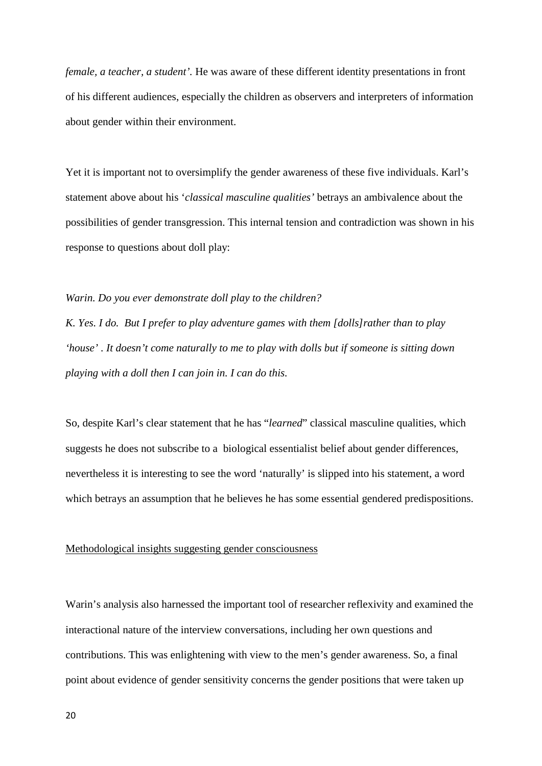*female, a teacher, a student'.* He was aware of these different identity presentations in front of his different audiences, especially the children as observers and interpreters of information about gender within their environment.

Yet it is important not to oversimplify the gender awareness of these five individuals. Karl's statement above about his '*classical masculine qualities'* betrays an ambivalence about the possibilities of gender transgression. This internal tension and contradiction was shown in his response to questions about doll play:

#### *Warin. Do you ever demonstrate doll play to the children?*

*K. Yes. I do. But I prefer to play adventure games with them [dolls]rather than to play 'house' . It doesn't come naturally to me to play with dolls but if someone is sitting down playing with a doll then I can join in. I can do this.* 

So, despite Karl's clear statement that he has "*learned*" classical masculine qualities, which suggests he does not subscribe to a biological essentialist belief about gender differences, nevertheless it is interesting to see the word 'naturally' is slipped into his statement, a word which betrays an assumption that he believes he has some essential gendered predispositions.

### Methodological insights suggesting gender consciousness

Warin's analysis also harnessed the important tool of researcher reflexivity and examined the interactional nature of the interview conversations, including her own questions and contributions. This was enlightening with view to the men's gender awareness. So, a final point about evidence of gender sensitivity concerns the gender positions that were taken up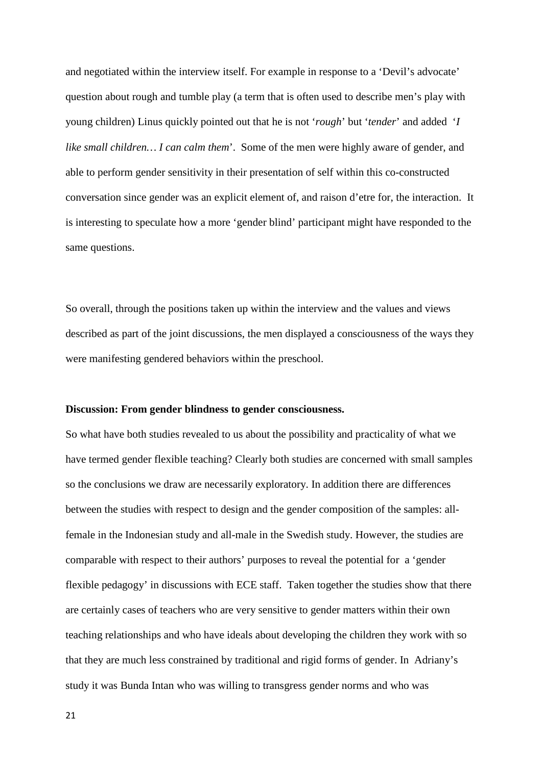and negotiated within the interview itself. For example in response to a 'Devil's advocate' question about rough and tumble play (a term that is often used to describe men's play with young children) Linus quickly pointed out that he is not '*rough*' but '*tender*' and added '*I like small children… I can calm them*'. Some of the men were highly aware of gender, and able to perform gender sensitivity in their presentation of self within this co-constructed conversation since gender was an explicit element of, and raison d'etre for, the interaction. It is interesting to speculate how a more 'gender blind' participant might have responded to the same questions.

So overall, through the positions taken up within the interview and the values and views described as part of the joint discussions, the men displayed a consciousness of the ways they were manifesting gendered behaviors within the preschool.

#### **Discussion: From gender blindness to gender consciousness.**

So what have both studies revealed to us about the possibility and practicality of what we have termed gender flexible teaching? Clearly both studies are concerned with small samples so the conclusions we draw are necessarily exploratory. In addition there are differences between the studies with respect to design and the gender composition of the samples: allfemale in the Indonesian study and all-male in the Swedish study. However, the studies are comparable with respect to their authors' purposes to reveal the potential for a 'gender flexible pedagogy' in discussions with ECE staff. Taken together the studies show that there are certainly cases of teachers who are very sensitive to gender matters within their own teaching relationships and who have ideals about developing the children they work with so that they are much less constrained by traditional and rigid forms of gender. In Adriany's study it was Bunda Intan who was willing to transgress gender norms and who was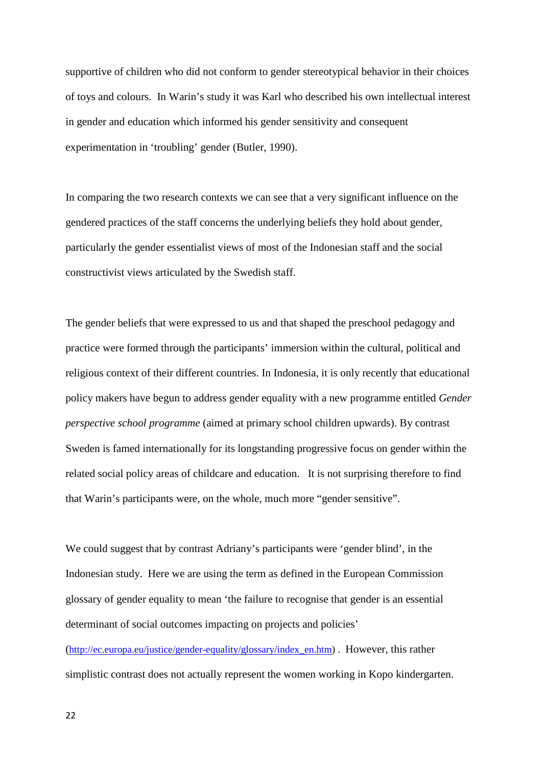supportive of children who did not conform to gender stereotypical behavior in their choices of toys and colours. In Warin's study it was Karl who described his own intellectual interest in gender and education which informed his gender sensitivity and consequent experimentation in 'troubling' gender (Butler, 1990).

In comparing the two research contexts we can see that a very significant influence on the gendered practices of the staff concerns the underlying beliefs they hold about gender, particularly the gender essentialist views of most of the Indonesian staff and the social constructivist views articulated by the Swedish staff.

The gender beliefs that were expressed to us and that shaped the preschool pedagogy and practice were formed through the participants' immersion within the cultural, political and religious context of their different countries. In Indonesia, it is only recently that educational policy makers have begun to address gender equality with a new programme entitled *Gender perspective school programme* (aimed at primary school children upwards). By contrast Sweden is famed internationally for its longstanding progressive focus on gender within the related social policy areas of childcare and education. It is not surprising therefore to find that Warin's participants were, on the whole, much more "gender sensitive".

We could suggest that by contrast Adriany's participants were 'gender blind', in the Indonesian study. Here we are using the term as defined in the European Commission glossary of gender equality to mean 'the failure to recognise that gender is an essential determinant of social outcomes impacting on projects and policies' [\(http://ec.europa.eu/justice/gender-equality/glossary/index\\_en.htm\)](http://ec.europa.eu/justice/gender-equality/glossary/index_en.htm) . However, this rather

simplistic contrast does not actually represent the women working in Kopo kindergarten.

22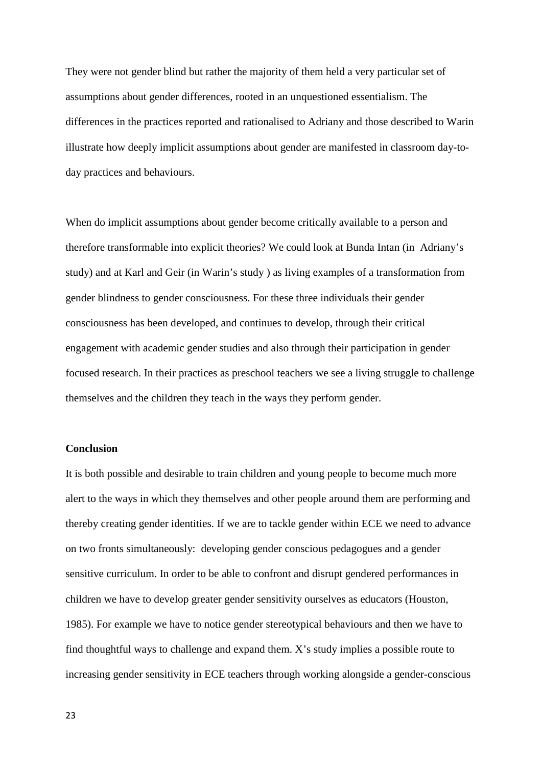They were not gender blind but rather the majority of them held a very particular set of assumptions about gender differences, rooted in an unquestioned essentialism. The differences in the practices reported and rationalised to Adriany and those described to Warin illustrate how deeply implicit assumptions about gender are manifested in classroom day-today practices and behaviours.

When do implicit assumptions about gender become critically available to a person and therefore transformable into explicit theories? We could look at Bunda Intan (in Adriany's study) and at Karl and Geir (in Warin's study ) as living examples of a transformation from gender blindness to gender consciousness. For these three individuals their gender consciousness has been developed, and continues to develop, through their critical engagement with academic gender studies and also through their participation in gender focused research. In their practices as preschool teachers we see a living struggle to challenge themselves and the children they teach in the ways they perform gender.

### **Conclusion**

It is both possible and desirable to train children and young people to become much more alert to the ways in which they themselves and other people around them are performing and thereby creating gender identities. If we are to tackle gender within ECE we need to advance on two fronts simultaneously: developing gender conscious pedagogues and a gender sensitive curriculum. In order to be able to confront and disrupt gendered performances in children we have to develop greater gender sensitivity ourselves as educators [\(Houston,](#page-25-7)  [1985\)](#page-25-7). For example we have to notice gender stereotypical behaviours and then we have to find thoughtful ways to challenge and expand them. X's study implies a possible route to increasing gender sensitivity in ECE teachers through working alongside a gender-conscious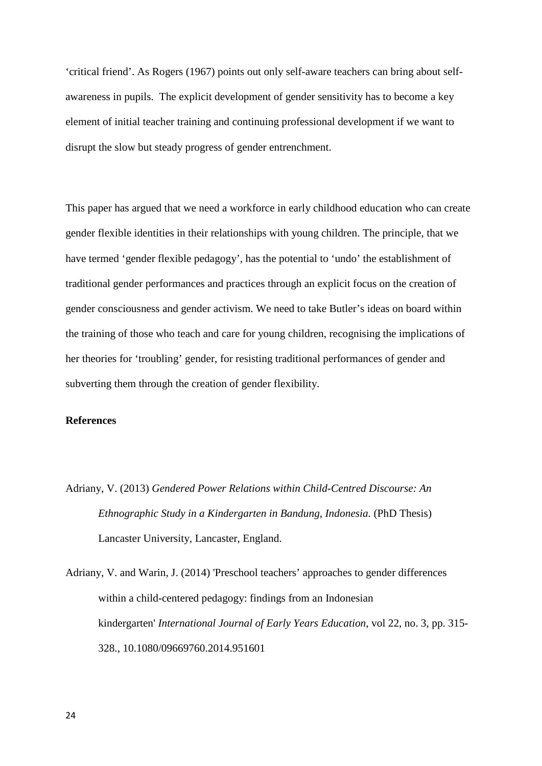'critical friend'. As Rogers (1967) points out only self-aware teachers can bring about selfawareness in pupils. The explicit development of gender sensitivity has to become a key element of initial teacher training and continuing professional development if we want to disrupt the slow but steady progress of gender entrenchment.

This paper has argued that we need a workforce in early childhood education who can create gender flexible identities in their relationships with young children. The principle, that we have termed 'gender flexible pedagogy', has the potential to 'undo' the establishment of traditional gender performances and practices through an explicit focus on the creation of gender consciousness and gender activism. We need to take Butler's ideas on board within the training of those who teach and care for young children, recognising the implications of her theories for 'troubling' gender, for resisting traditional performances of gender and subverting them through the creation of gender flexibility.

# **References**

- <span id="page-23-0"></span>Adriany, V. (2013) *Gendered Power Relations within Child-Centred Discourse: An Ethnographic Study in a Kindergarten in Bandung, Indonesia.* (PhD Thesis) Lancaster University, Lancaster, England.
- Adriany, V. and Warin, J. (2014) 'Preschool teachers' [approaches](http://www.research.lancs.ac.uk/portal/en/publications/preschool-teachers-approaches-to-gender-differences-within-a-childcentered-pedagogy(c7725986-82b0-48fc-a46c-07e1b726ba52).html) to gender differences within a [child-centered](http://www.research.lancs.ac.uk/portal/en/publications/preschool-teachers-approaches-to-gender-differences-within-a-childcentered-pedagogy(c7725986-82b0-48fc-a46c-07e1b726ba52).html) pedagogy: findings from an Indonesian [kindergarten'](http://www.research.lancs.ac.uk/portal/en/publications/preschool-teachers-approaches-to-gender-differences-within-a-childcentered-pedagogy(c7725986-82b0-48fc-a46c-07e1b726ba52).html) *International Journal of Early Years Education*, vol 22, no. 3, pp. 315- 328., [10.1080/09669760.2014.951601](http://dx.doi.org/10.1080/09669760.2014.951601)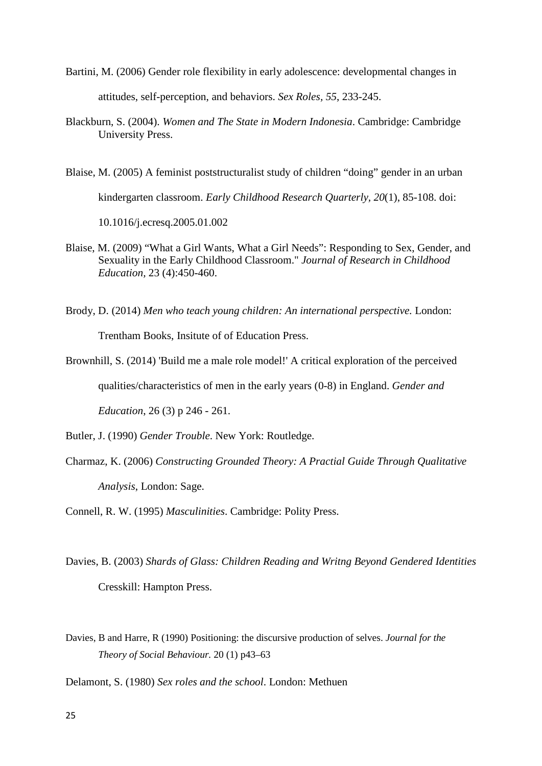- <span id="page-24-5"></span>Bartini, M. (2006) Gender role flexibility in early adolescence: developmental changes in attitudes, self-perception, and behaviors. *Sex Roles, 55*, 233-245.
- Blackburn, S. (2004). *Women and The State in Modern Indonesia*. Cambridge: Cambridge University Press.
- <span id="page-24-6"></span>Blaise, M. (2005) A feminist poststructuralist study of children "doing" gender in an urban kindergarten classroom. *Early Childhood Research Quarterly, 20*(1), 85-108. doi: 10.1016/j.ecresq.2005.01.002
- Blaise, M. (2009) "What a Girl Wants, What a Girl Needs": Responding to Sex, Gender, and Sexuality in the Early Childhood Classroom." *Journal of Research in Childhood Education,* 23 (4):450-460.
- <span id="page-24-0"></span>Brody, D. (2014) *Men who teach young children: An international perspective.* London:

Trentham Books, Insitute of of Education Press.

Brownhill, S. (2014) 'Build me a male role model!' A critical exploration of the perceived

qualities/characteristics of men in the early years (0-8) in England. *Gender and* 

*Education*, 26 (3) p 246 - 261.

<span id="page-24-4"></span>Butler, J. (1990) *Gender Trouble*. New York: Routledge.

Charmaz, K. (2006) *Constructing Grounded Theory: A Practial Guide Through Qualitative Analysis*, London: Sage.

<span id="page-24-2"></span><span id="page-24-1"></span>Connell, R. W. (1995) *Masculinities*. Cambridge: Polity Press.

- Davies, B. (2003) *Shards of Glass: Children Reading and Writng Beyond Gendered Identities* Cresskill: Hampton Press.
- Davies, B and Harre, R (1990) Positioning: the discursive production of selves. *Journal for the Theory of Social Behaviour.* 20 (1) p43–63

<span id="page-24-3"></span>Delamont, S. (1980) *Sex roles and the school*. London: Methuen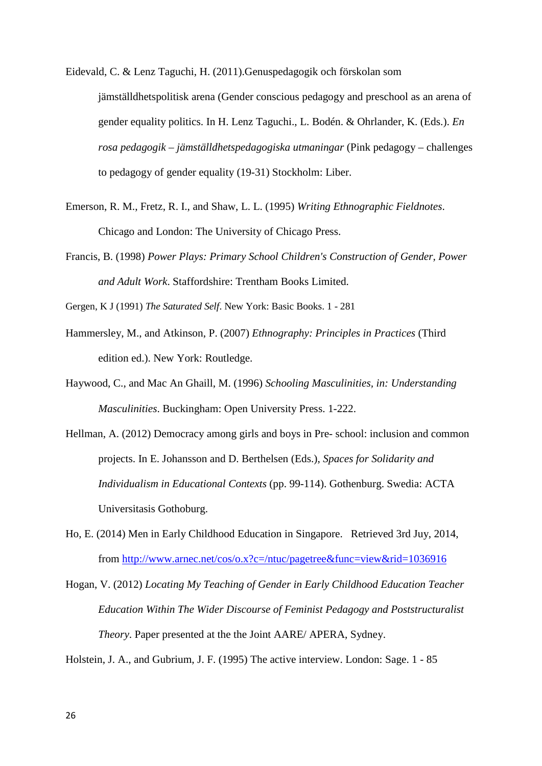Eidevald, C. & Lenz Taguchi, H. (2011).Genuspedagogik och förskolan som jämställdhetspolitisk arena (Gender conscious pedagogy and preschool as an arena of gender equality politics. In H. Lenz Taguchi., L. Bodén. & Ohrlander, K. (Eds.). *En rosa pedagogik – jämställdhetspedagogiska utmaningar* (Pink pedagogy – challenges to pedagogy of gender equality (19-31) Stockholm: Liber.

- <span id="page-25-6"></span>Emerson, R. M., Fretz, R. I., and Shaw, L. L. (1995) *Writing Ethnographic Fieldnotes*. Chicago and London: The University of Chicago Press.
- <span id="page-25-7"></span>Francis, B. (1998) *Power Plays: Primary School Children's Construction of Gender, Power and Adult Work*. Staffordshire: Trentham Books Limited.

Gergen, K J (1991) *The Saturated Self*. New York: Basic Books. 1 - 281

- <span id="page-25-1"></span>Hammersley, M., and Atkinson, P. (2007) *Ethnography: Principles in Practices* (Third edition ed.). New York: Routledge.
- <span id="page-25-3"></span>Haywood, C., and Mac An Ghaill, M. (1996) *Schooling Masculinities, in: Understanding Masculinities*. Buckingham: Open University Press. 1-222.
- <span id="page-25-5"></span>Hellman, A. (2012) Democracy among girls and boys in Pre- school: inclusion and common projects. In E. Johansson and D. Berthelsen (Eds.), *Spaces for Solidarity and Individualism in Educational Contexts* (pp. 99-114). Gothenburg. Swedia: ACTA Universitasis Gothoburg.
- <span id="page-25-2"></span>Ho, E. (2014) Men in Early Childhood Education in Singapore. Retrieved 3rd Juy, 2014, from<http://www.arnec.net/cos/o.x?c=/ntuc/pagetree&func=view&rid=1036916>
- <span id="page-25-0"></span>Hogan, V. (2012) *Locating My Teaching of Gender in Early Childhood Education Teacher Education Within The Wider Discourse of Feminist Pedagogy and Poststructuralist Theory*. Paper presented at the the Joint AARE/ APERA, Sydney.

<span id="page-25-4"></span>Holstein, J. A., and Gubrium, J. F. (1995) The active interview. London: Sage. 1 - 85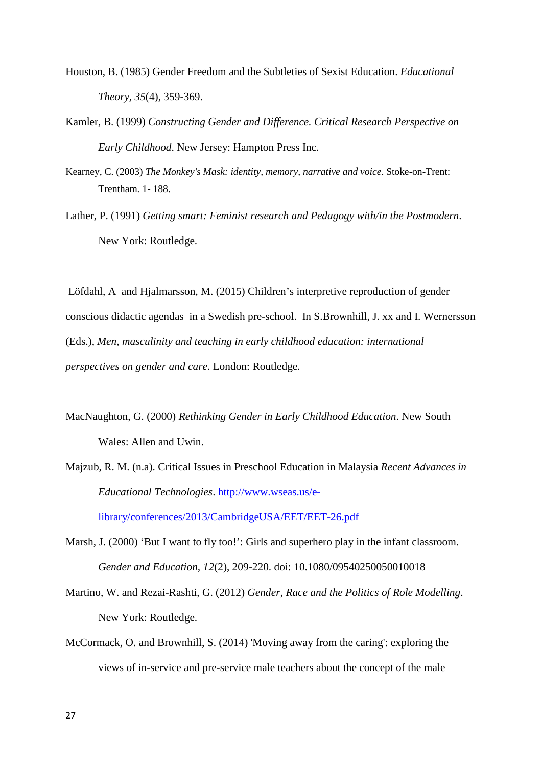- <span id="page-26-4"></span>Houston, B. (1985) Gender Freedom and the Subtleties of Sexist Education. *Educational Theory, 35*(4), 359-369.
- <span id="page-26-3"></span>Kamler, B. (1999) *Constructing Gender and Difference. Critical Research Perspective on Early Childhood*. New Jersey: Hampton Press Inc.
- Kearney, C. (2003) *The Monkey's Mask: identity, memory, narrative and voice*. Stoke-on-Trent: Trentham. 1- 188.
- <span id="page-26-0"></span>Lather, P. (1991) *Getting smart: Feminist research and Pedagogy with/in the Postmodern*. New York: Routledge.

Löfdahl, A and Hjalmarsson, M. (2015) Children's interpretive reproduction of gender conscious didactic agendas in a Swedish pre-school. In S.Brownhill, J. xx and I. Wernersson (Eds.), *Men, masculinity and teaching in early childhood education: international perspectives on gender and care*. London: Routledge.

<span id="page-26-7"></span>MacNaughton, G. (2000) *Rethinking Gender in Early Childhood Education*. New South Wales: Allen and Uwin.

<span id="page-26-1"></span>Majzub, R. M. (n.a). Critical Issues in Preschool Education in Malaysia *Recent Advances in Educational Technologies*. [http://www.wseas.us/e](http://www.wseas.us/e-library/conferences/2013/CambridgeUSA/EET/EET-26.pdf)[library/conferences/2013/CambridgeUSA/EET/EET-26.pdf](http://www.wseas.us/e-library/conferences/2013/CambridgeUSA/EET/EET-26.pdf)

<span id="page-26-6"></span>Marsh, J. (2000) 'But I want to fly too!': Girls and superhero play in the infant classroom. *Gender and Education, 12*(2), 209-220. doi: 10.1080/09540250050010018

<span id="page-26-2"></span>Martino, W. and Rezai-Rashti, G. (2012) *Gender, Race and the Politics of Role Modelling*. New York: Routledge.

<span id="page-26-5"></span>McCormack, O. and Brownhill, S. (2014) 'Moving away from the caring': exploring the views of in-service and pre-service male teachers about the concept of the male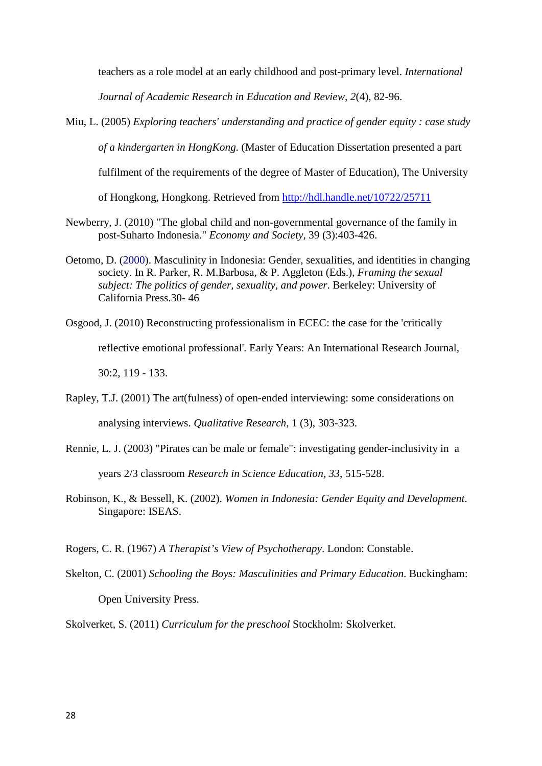teachers as a role model at an early childhood and post-primary level. *International* 

*Journal of Academic Research in Education and Review, 2*(4), 82-96.

<span id="page-27-0"></span>Miu, L. (2005) *Exploring teachers' understanding and practice of gender equity : case study of a kindergarten in HongKong.* (Master of Education Dissertation presented a part

fulfilment of the requirements of the degree of Master of Education), The University

of Hongkong, Hongkong. Retrieved from<http://hdl.handle.net/10722/25711>

- Newberry, J. (2010) "The global child and non-governmental governance of the family in post-Suharto Indonesia." *Economy and Society,* 39 (3):403-426.
- Oetomo, D. (2000). Masculinity in Indonesia: Gender, sexualities, and identities in changing society. In R. Parker, R. M.Barbosa, & P. Aggleton (Eds.), *Framing the sexual subject: The politics of gender, sexuality, and power*. Berkeley: University of California Press.30- 46
- Osgood, J. (2010) Reconstructing professionalism in ECEC: the case for the 'critically reflective emotional professional'. Early Years: An International Research Journal, 30:2, 119 - 133.
- <span id="page-27-1"></span>Rapley, T.J. (2001) The art(fulness) of open-ended interviewing: some considerations on analysing interviews. *Qualitative Research*, 1 (3), 303-323.
- Rennie, L. J. (2003) "Pirates can be male or female": investigating gender-inclusivity in a years 2/3 classroom *Research in Science Education, 33*, 515-528.
- Robinson, K., & Bessell, K. (2002). *Women in Indonesia: Gender Equity and Development*. Singapore: ISEAS.

Rogers, C. R. (1967) *A Therapist's View of Psychotherapy*. London: Constable.

Skelton, C. (2001) *Schooling the Boys: Masculinities and Primary Education*. Buckingham: Open University Press.

Skolverket, S. (2011) *Curriculum for the preschool* Stockholm: Skolverket.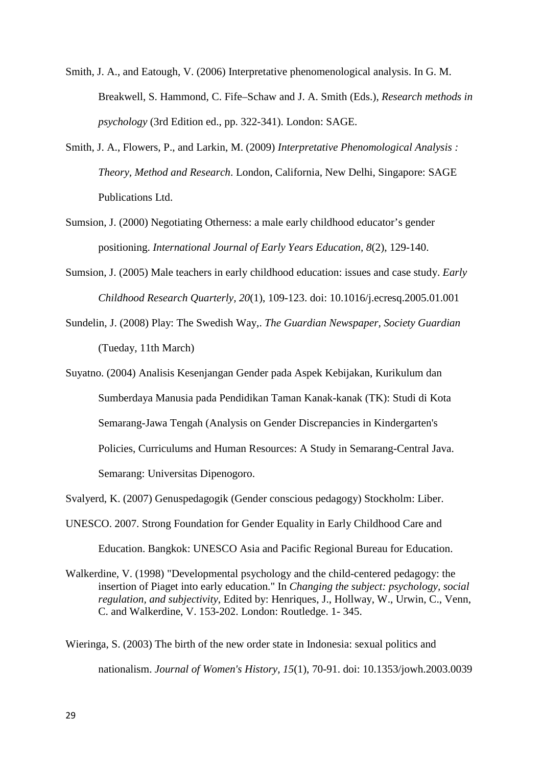- Smith, J. A., and Eatough, V. (2006) Interpretative phenomenological analysis. In G. M. Breakwell, S. Hammond, C. Fife–Schaw and J. A. Smith (Eds.), *Research methods in psychology* (3rd Edition ed., pp. 322-341). London: SAGE.
- Smith, J. A., Flowers, P., and Larkin, M. (2009) *Interpretative Phenomological Analysis : Theory, Method and Research*. London, California, New Delhi, Singapore: SAGE Publications Ltd.
- Sumsion, J. (2000) Negotiating Otherness: a male early childhood educator's gender positioning. *International Journal of Early Years Education, 8*(2), 129-140.
- Sumsion, J. (2005) Male teachers in early childhood education: issues and case study. *Early Childhood Research Quarterly, 20*(1), 109-123. doi: 10.1016/j.ecresq.2005.01.001
- Sundelin, J. (2008) Play: The Swedish Way,. *The Guardian Newspaper, Society Guardian*  (Tueday, 11th March)
- Suyatno. (2004) Analisis Kesenjangan Gender pada Aspek Kebijakan, Kurikulum dan Sumberdaya Manusia pada Pendidikan Taman Kanak-kanak (TK): Studi di Kota Semarang-Jawa Tengah (Analysis on Gender Discrepancies in Kindergarten's Policies, Curriculums and Human Resources: A Study in Semarang-Central Java. Semarang: Universitas Dipenogoro.

Svalyerd, K. (2007) Genuspedagogik (Gender conscious pedagogy) Stockholm: Liber.

- UNESCO. 2007. Strong Foundation for Gender Equality in Early Childhood Care and Education. Bangkok: UNESCO Asia and Pacific Regional Bureau for Education.
- Walkerdine, V. (1998) "Developmental psychology and the child-centered pedagogy: the insertion of Piaget into early education." In *Changing the subject: psychology, social regulation, and subjectivity*, Edited by: Henriques, J., Hollway, W., Urwin, C., Venn, C. and Walkerdine, V. 153-202. London: Routledge. 1- 345.
- Wieringa, S. (2003) The birth of the new order state in Indonesia: sexual politics and nationalism. *Journal of Women's History, 15*(1), 70-91. doi: 10.1353/jowh.2003.0039